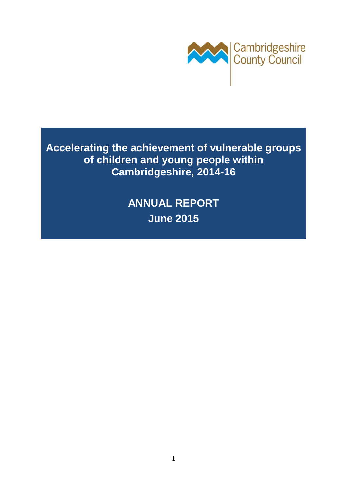

**Accelerating the achievement of vulnerable groups of children and young people within Cambridgeshire, 2014-16** 

> **ANNUAL REPORT June 2015**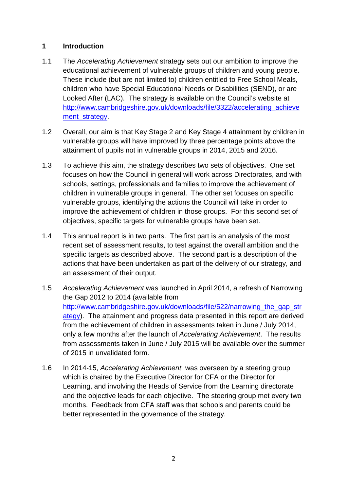#### **1 Introduction**

- 1.1 The Accelerating Achievement strategy sets out our ambition to improve the educational achievement of vulnerable groups of children and young people. These include (but are not limited to) children entitled to Free School Meals, children who have Special Educational Needs or Disabilities (SEND), or are Looked After (LAC). The strategy is available on the Council's website at http://www.cambridgeshire.gov.uk/downloads/file/3322/accelerating\_achieve ment\_strategy.
- 1.2 Overall, our aim is that Key Stage 2 and Key Stage 4 attainment by children in vulnerable groups will have improved by three percentage points above the attainment of pupils not in vulnerable groups in 2014, 2015 and 2016.
- 1.3 To achieve this aim, the strategy describes two sets of objectives. One set focuses on how the Council in general will work across Directorates, and with schools, settings, professionals and families to improve the achievement of children in vulnerable groups in general. The other set focuses on specific vulnerable groups, identifying the actions the Council will take in order to improve the achievement of children in those groups. For this second set of objectives, specific targets for vulnerable groups have been set.
- 1.4 This annual report is in two parts. The first part is an analysis of the most recent set of assessment results, to test against the overall ambition and the specific targets as described above. The second part is a description of the actions that have been undertaken as part of the delivery of our strategy, and an assessment of their output.
- 1.5 Accelerating Achievement was launched in April 2014, a refresh of Narrowing the Gap 2012 to 2014 (available from http://www.cambridgeshire.gov.uk/downloads/file/522/narrowing the gap str ategy). The attainment and progress data presented in this report are derived from the achievement of children in assessments taken in June / July 2014, only a few months after the launch of Accelerating Achievement. The results from assessments taken in June / July 2015 will be available over the summer of 2015 in unvalidated form.
- 1.6 In 2014-15, Accelerating Achievement was overseen by a steering group which is chaired by the Executive Director for CFA or the Director for Learning, and involving the Heads of Service from the Learning directorate and the objective leads for each objective. The steering group met every two months. Feedback from CFA staff was that schools and parents could be better represented in the governance of the strategy.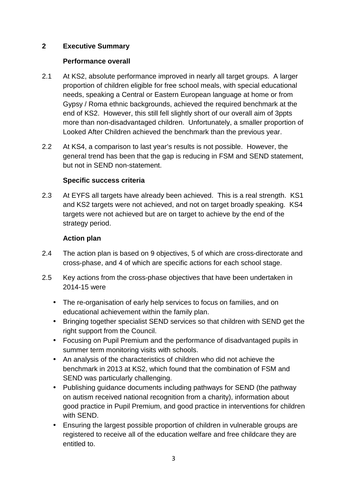#### **2 Executive Summary**

#### **Performance overall**

- 2.1 At KS2, absolute performance improved in nearly all target groups. A larger proportion of children eligible for free school meals, with special educational needs, speaking a Central or Eastern European language at home or from Gypsy / Roma ethnic backgrounds, achieved the required benchmark at the end of KS2. However, this still fell slightly short of our overall aim of 3ppts more than non-disadvantaged children. Unfortunately, a smaller proportion of Looked After Children achieved the benchmark than the previous year.
- 2.2 At KS4, a comparison to last year's results is not possible. However, the general trend has been that the gap is reducing in FSM and SEND statement, but not in SEND non-statement.

#### **Specific success criteria**

2.3 At EYFS all targets have already been achieved. This is a real strength. KS1 and KS2 targets were not achieved, and not on target broadly speaking. KS4 targets were not achieved but are on target to achieve by the end of the strategy period.

#### **Action plan**

- 2.4 The action plan is based on 9 objectives, 5 of which are cross-directorate and cross-phase, and 4 of which are specific actions for each school stage.
- 2.5 Key actions from the cross-phase objectives that have been undertaken in 2014-15 were
	- The re-organisation of early help services to focus on families, and on educational achievement within the family plan.
	- Bringing together specialist SEND services so that children with SEND get the right support from the Council.
	- Focusing on Pupil Premium and the performance of disadvantaged pupils in summer term monitoring visits with schools.
	- An analysis of the characteristics of children who did not achieve the benchmark in 2013 at KS2, which found that the combination of FSM and SEND was particularly challenging.
	- Publishing guidance documents including pathways for SEND (the pathway on autism received national recognition from a charity), information about good practice in Pupil Premium, and good practice in interventions for children with SEND.
	- Ensuring the largest possible proportion of children in vulnerable groups are registered to receive all of the education welfare and free childcare they are entitled to.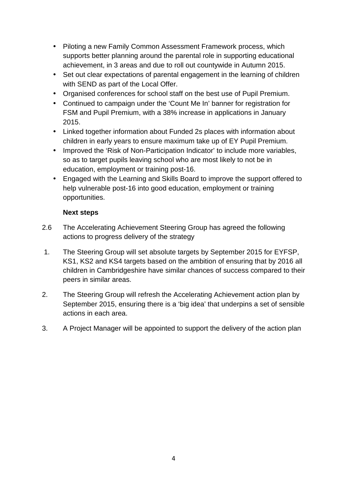- Piloting a new Family Common Assessment Framework process, which supports better planning around the parental role in supporting educational achievement, in 3 areas and due to roll out countywide in Autumn 2015.
- Set out clear expectations of parental engagement in the learning of children with SEND as part of the Local Offer.
- Organised conferences for school staff on the best use of Pupil Premium.
- Continued to campaign under the 'Count Me In' banner for registration for FSM and Pupil Premium, with a 38% increase in applications in January 2015.
- Linked together information about Funded 2s places with information about children in early years to ensure maximum take up of EY Pupil Premium.
- Improved the 'Risk of Non-Participation Indicator' to include more variables, so as to target pupils leaving school who are most likely to not be in education, employment or training post-16.
- Engaged with the Learning and Skills Board to improve the support offered to help vulnerable post-16 into good education, employment or training opportunities.

#### **Next steps**

- 2.6 The Accelerating Achievement Steering Group has agreed the following actions to progress delivery of the strategy
- 1. The Steering Group will set absolute targets by September 2015 for EYFSP, KS1, KS2 and KS4 targets based on the ambition of ensuring that by 2016 all children in Cambridgeshire have similar chances of success compared to their peers in similar areas.
- 2. The Steering Group will refresh the Accelerating Achievement action plan by September 2015, ensuring there is a 'big idea' that underpins a set of sensible actions in each area.
- 3. A Project Manager will be appointed to support the delivery of the action plan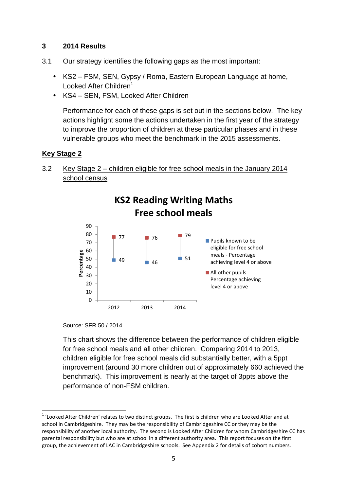#### **3 2014 Results**

- 3.1 Our strategy identifies the following gaps as the most important:
	- KS2 FSM, SEN, Gypsy / Roma, Eastern European Language at home, Looked After Children<sup>1</sup>
	- KS4 SEN, FSM, Looked After Children

Performance for each of these gaps is set out in the sections below. The key actions highlight some the actions undertaken in the first year of the strategy to improve the proportion of children at these particular phases and in these vulnerable groups who meet the benchmark in the 2015 assessments.

#### **Key Stage 2**

3.2 Key Stage 2 – children eligible for free school meals in the January 2014 school census



Source: SFR 50 / 2014

l

 This chart shows the difference between the performance of children eligible for free school meals and all other children. Comparing 2014 to 2013, children eligible for free school meals did substantially better, with a 5ppt improvement (around 30 more children out of approximately 660 achieved the benchmark). This improvement is nearly at the target of 3ppts above the performance of non-FSM children.

 $1$  'Looked After Children' relates to two distinct groups. The first is children who are Looked After and at school in Cambridgeshire. They may be the responsibility of Cambridgeshire CC or they may be the responsibility of another local authority. The second is Looked After Children for whom Cambridgeshire CC has parental responsibility but who are at school in a different authority area. This report focuses on the first group, the achievement of LAC in Cambridgeshire schools. See Appendix 2 for details of cohort numbers.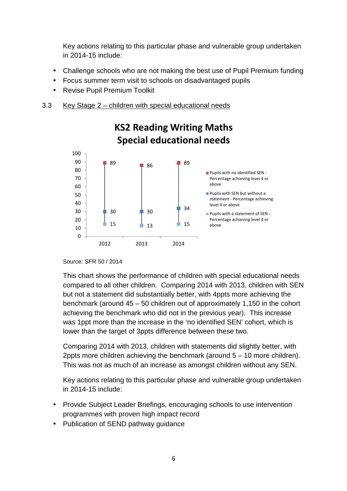Key actions relating to this particular phase and vulnerable group undertaken in 2014-15 include:

- Challenge schools who are not making the best use of Pupil Premium funding
- Focus summer term visit to schools on disadvantaged pupils
- Revise Pupil Premium Toolkit
- 3.3 Key Stage 2 children with special educational needs



# **KS2 Reading Writing Maths**

Source: SFR 50 / 2014

 This chart shows the performance of children with special educational needs compared to all other children. Comparing 2014 with 2013, children with SEN but not a statement did substantially better, with 4ppts more achieving the benchmark (around 45 – 50 children out of approximately 1,150 in the cohort achieving the benchmark who did not in the previous year). This increase was 1ppt more than the increase in the 'no identified SEN' cohort, which is lower than the target of 3ppts difference between these two.

 Comparing 2014 with 2013, children with statements did slightly better, with 2ppts more children achieving the benchmark (around 5 – 10 more children). This was not as much of an increase as amongst children without any SEN.

- Provide Subject Leader Briefings, encouraging schools to use intervention programmes with proven high impact record
- Publication of SEND pathway guidance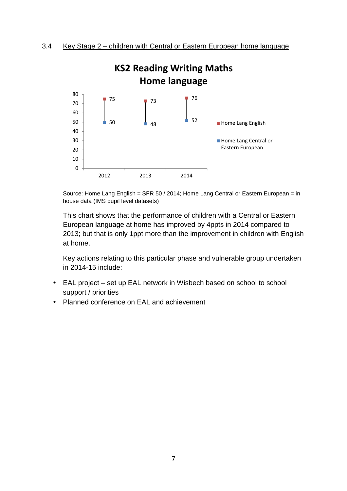

Source: Home Lang English = SFR 50 / 2014; Home Lang Central or Eastern European = in house data (IMS pupil level datasets)

 This chart shows that the performance of children with a Central or Eastern European language at home has improved by 4ppts in 2014 compared to 2013; but that is only 1ppt more than the improvement in children with English at home.

- EAL project set up EAL network in Wisbech based on school to school support / priorities
- Planned conference on EAL and achievement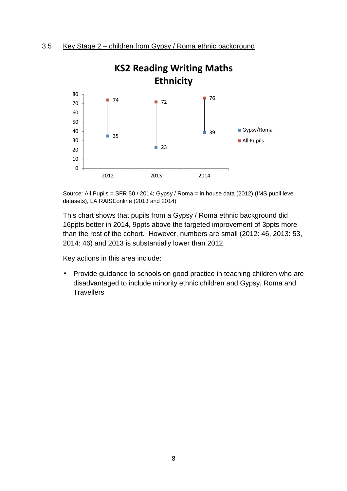

Source: All Pupils = SFR 50 / 2014; Gypsy / Roma = in house data (2012) (IMS pupil level datasets), LA RAISEonline (2013 and 2014)

This chart shows that pupils from a Gypsy / Roma ethnic background did 16ppts better in 2014, 9ppts above the targeted improvement of 3ppts more than the rest of the cohort. However, numbers are small (2012: 46, 2013: 53, 2014: 46) and 2013 is substantially lower than 2012.

Key actions in this area include:

• Provide guidance to schools on good practice in teaching children who are disadvantaged to include minority ethnic children and Gypsy, Roma and **Travellers**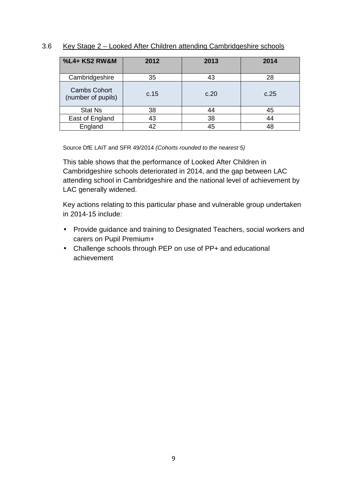#### 3.6 Key Stage 2 – Looked After Children attending Cambridgeshire schools

| %L4+ KS2 RW&M                             | 2012 | 2013 | 2014 |
|-------------------------------------------|------|------|------|
| Cambridgeshire                            | 35   | 43   | 28   |
| <b>Cambs Cohort</b><br>(number of pupils) | c.15 | c.20 | c.25 |
| <b>Stat Ns</b>                            | 38   | 44   | 45   |
| East of England                           | 43   | 38   | 44   |
| England                                   | 42   | 45   | 48   |

Source DfE LAIT and SFR 49/2014 (Cohorts rounded to the nearest 5)

This table shows that the performance of Looked After Children in Cambridgeshire schools deteriorated in 2014, and the gap between LAC attending school in Cambridgeshire and the national level of achievement by LAC generally widened.

- Provide guidance and training to Designated Teachers, social workers and carers on Pupil Premium+
- Challenge schools through PEP on use of PP+ and educational achievement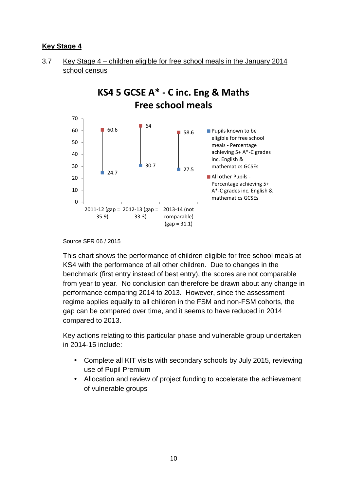#### **Key Stage 4**





Source SFR 06 / 2015

This chart shows the performance of children eligible for free school meals at KS4 with the performance of all other children. Due to changes in the benchmark (first entry instead of best entry), the scores are not comparable from year to year. No conclusion can therefore be drawn about any change in performance comparing 2014 to 2013. However, since the assessment regime applies equally to all children in the FSM and non-FSM cohorts, the gap can be compared over time, and it seems to have reduced in 2014 compared to 2013.

- Complete all KIT visits with secondary schools by July 2015, reviewing use of Pupil Premium
- Allocation and review of project funding to accelerate the achievement of vulnerable groups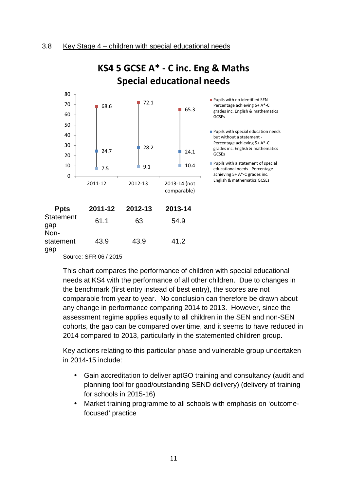

## **KS4 5 GCSE A\* - C inc. Eng & Maths Special educational needs**

Source: SFR 06 / 2015

This chart compares the performance of children with special educational needs at KS4 with the performance of all other children. Due to changes in the benchmark (first entry instead of best entry), the scores are not comparable from year to year. No conclusion can therefore be drawn about any change in performance comparing 2014 to 2013. However, since the assessment regime applies equally to all children in the SEN and non-SEN cohorts, the gap can be compared over time, and it seems to have reduced in 2014 compared to 2013, particularly in the statemented children group.

- Gain accreditation to deliver aptGO training and consultancy (audit and planning tool for good/outstanding SEND delivery) (delivery of training for schools in 2015-16)
- Market training programme to all schools with emphasis on 'outcomefocused' practice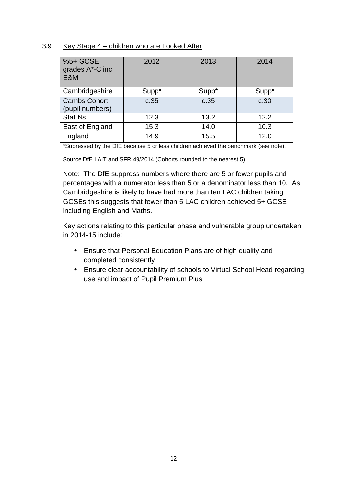#### 3.9 Key Stage 4 – children who are Looked After

| %5+ GCSE<br>grades A*-C inc<br>E&M     | 2012  | 2013  | 2014  |
|----------------------------------------|-------|-------|-------|
| Cambridgeshire                         | Supp* | Supp* | Supp* |
| <b>Cambs Cohort</b><br>(pupil numbers) | c.35  | c.35  | c.30  |
| <b>Stat Ns</b>                         | 12.3  | 13.2  | 12.2  |
| East of England                        | 15.3  | 14.0  | 10.3  |
| England                                | 14.9  | 15.5  | 12.0  |

\*Supressed by the DfE because 5 or less children achieved the benchmark (see note).

Source DfE LAIT and SFR 49/2014 (Cohorts rounded to the nearest 5)

Note: The DfE suppress numbers where there are 5 or fewer pupils and percentages with a numerator less than 5 or a denominator less than 10. As Cambridgeshire is likely to have had more than ten LAC children taking GCSEs this suggests that fewer than 5 LAC children achieved 5+ GCSE including English and Maths.

- Ensure that Personal Education Plans are of high quality and completed consistently
- Ensure clear accountability of schools to Virtual School Head regarding use and impact of Pupil Premium Plus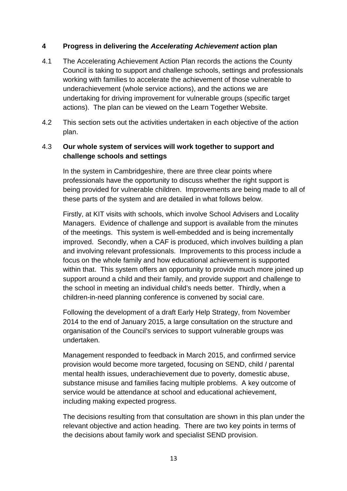#### **4 Progress in delivering the Accelerating Achievement action plan**

- 4.1 The Accelerating Achievement Action Plan records the actions the County Council is taking to support and challenge schools, settings and professionals working with families to accelerate the achievement of those vulnerable to underachievement (whole service actions), and the actions we are undertaking for driving improvement for vulnerable groups (specific target actions). The plan can be viewed on the Learn Together Website.
- 4.2 This section sets out the activities undertaken in each objective of the action plan.

#### 4.3 **Our whole system of services will work together to support and challenge schools and settings**

In the system in Cambridgeshire, there are three clear points where professionals have the opportunity to discuss whether the right support is being provided for vulnerable children. Improvements are being made to all of these parts of the system and are detailed in what follows below.

Firstly, at KIT visits with schools, which involve School Advisers and Locality Managers. Evidence of challenge and support is available from the minutes of the meetings. This system is well-embedded and is being incrementally improved. Secondly, when a CAF is produced, which involves building a plan and involving relevant professionals. Improvements to this process include a focus on the whole family and how educational achievement is supported within that. This system offers an opportunity to provide much more joined up support around a child and their family, and provide support and challenge to the school in meeting an individual child's needs better. Thirdly, when a children-in-need planning conference is convened by social care.

Following the development of a draft Early Help Strategy, from November 2014 to the end of January 2015, a large consultation on the structure and organisation of the Council's services to support vulnerable groups was undertaken.

Management responded to feedback in March 2015, and confirmed service provision would become more targeted, focusing on SEND, child / parental mental health issues, underachievement due to poverty, domestic abuse, substance misuse and families facing multiple problems. A key outcome of service would be attendance at school and educational achievement, including making expected progress.

The decisions resulting from that consultation are shown in this plan under the relevant objective and action heading. There are two key points in terms of the decisions about family work and specialist SEND provision.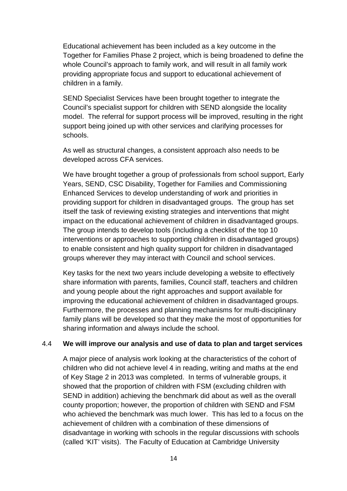Educational achievement has been included as a key outcome in the Together for Families Phase 2 project, which is being broadened to define the whole Council's approach to family work, and will result in all family work providing appropriate focus and support to educational achievement of children in a family.

SEND Specialist Services have been brought together to integrate the Council's specialist support for children with SEND alongside the locality model. The referral for support process will be improved, resulting in the right support being joined up with other services and clarifying processes for schools.

As well as structural changes, a consistent approach also needs to be developed across CFA services.

We have brought together a group of professionals from school support, Early Years, SEND, CSC Disability, Together for Families and Commissioning Enhanced Services to develop understanding of work and priorities in providing support for children in disadvantaged groups. The group has set itself the task of reviewing existing strategies and interventions that might impact on the educational achievement of children in disadvantaged groups. The group intends to develop tools (including a checklist of the top 10 interventions or approaches to supporting children in disadvantaged groups) to enable consistent and high quality support for children in disadvantaged groups wherever they may interact with Council and school services.

 Key tasks for the next two years include developing a website to effectively share information with parents, families, Council staff, teachers and children and young people about the right approaches and support available for improving the educational achievement of children in disadvantaged groups. Furthermore, the processes and planning mechanisms for multi-disciplinary family plans will be developed so that they make the most of opportunities for sharing information and always include the school.

#### 4.4 **We will improve our analysis and use of data to plan and target services**

 A major piece of analysis work looking at the characteristics of the cohort of children who did not achieve level 4 in reading, writing and maths at the end of Key Stage 2 in 2013 was completed. In terms of vulnerable groups, it showed that the proportion of children with FSM (excluding children with SEND in addition) achieving the benchmark did about as well as the overall county proportion; however, the proportion of children with SEND and FSM who achieved the benchmark was much lower. This has led to a focus on the achievement of children with a combination of these dimensions of disadvantage in working with schools in the regular discussions with schools (called 'KIT' visits). The Faculty of Education at Cambridge University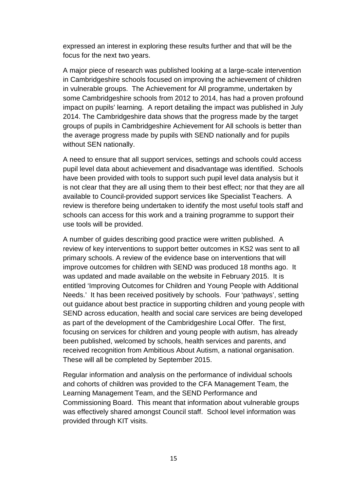expressed an interest in exploring these results further and that will be the focus for the next two years.

 A major piece of research was published looking at a large-scale intervention in Cambridgeshire schools focused on improving the achievement of children in vulnerable groups. The Achievement for All programme, undertaken by some Cambridgeshire schools from 2012 to 2014, has had a proven profound impact on pupils' learning. A report detailing the impact was published in July 2014. The Cambridgeshire data shows that the progress made by the target groups of pupils in Cambridgeshire Achievement for All schools is better than the average progress made by pupils with SEND nationally and for pupils without SEN nationally.

A need to ensure that all support services, settings and schools could access pupil level data about achievement and disadvantage was identified. Schools have been provided with tools to support such pupil level data analysis but it is not clear that they are all using them to their best effect; nor that they are all available to Council-provided support services like Specialist Teachers. A review is therefore being undertaken to identify the most useful tools staff and schools can access for this work and a training programme to support their use tools will be provided.

 A number of guides describing good practice were written published. A review of key interventions to support better outcomes in KS2 was sent to all primary schools. A review of the evidence base on interventions that will improve outcomes for children with SEND was produced 18 months ago. It was updated and made available on the website in February 2015. It is entitled 'Improving Outcomes for Children and Young People with Additional Needs.' It has been received positively by schools. Four 'pathways', setting out guidance about best practice in supporting children and young people with SEND across education, health and social care services are being developed as part of the development of the Cambridgeshire Local Offer. The first, focusing on services for children and young people with autism, has already been published, welcomed by schools, health services and parents, and received recognition from Ambitious About Autism, a national organisation. These will all be completed by September 2015.

Regular information and analysis on the performance of individual schools and cohorts of children was provided to the CFA Management Team, the Learning Management Team, and the SEND Performance and Commissioning Board. This meant that information about vulnerable groups was effectively shared amongst Council staff. School level information was provided through KIT visits.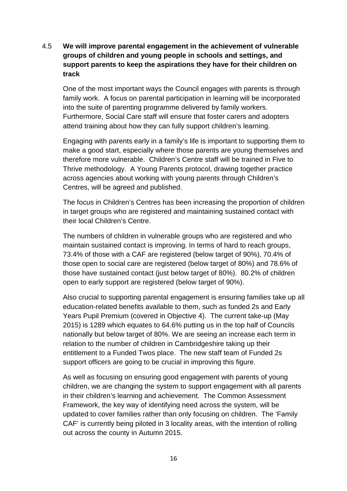#### 4.5 **We will improve parental engagement in the achievement of vulnerable groups of children and young people in schools and settings, and support parents to keep the aspirations they have for their children on track**

 One of the most important ways the Council engages with parents is through family work. A focus on parental participation in learning will be incorporated into the suite of parenting programme delivered by family workers. Furthermore, Social Care staff will ensure that foster carers and adopters attend training about how they can fully support children's learning.

 Engaging with parents early in a family's life is important to supporting them to make a good start, especially where those parents are young themselves and therefore more vulnerable. Children's Centre staff will be trained in Five to Thrive methodology. A Young Parents protocol, drawing together practice across agencies about working with young parents through Children's Centres, will be agreed and published.

The focus in Children's Centres has been increasing the proportion of children in target groups who are registered and maintaining sustained contact with their local Children's Centre.

The numbers of children in vulnerable groups who are registered and who maintain sustained contact is improving. In terms of hard to reach groups, 73.4% of those with a CAF are registered (below target of 90%), 70.4% of those open to social care are registered (below target of 80%) and 78.6% of those have sustained contact (just below target of 80%). 80.2% of children open to early support are registered (below target of 90%).

Also crucial to supporting parental engagement is ensuring families take up all education-related benefits available to them, such as funded 2s and Early Years Pupil Premium (covered in Objective 4). The current take-up (May 2015) is 1289 which equates to 64.6% putting us in the top half of Councils nationally but below target of 80%. We are seeing an increase each term in relation to the number of children in Cambridgeshire taking up their entitlement to a Funded Twos place. The new staff team of Funded 2s support officers are going to be crucial in improving this figure.

 As well as focusing on ensuring good engagement with parents of young children, we are changing the system to support engagement with all parents in their children's learning and achievement. The Common Assessment Framework, the key way of identifying need across the system, will be updated to cover families rather than only focusing on children. The 'Family CAF' is currently being piloted in 3 locality areas, with the intention of rolling out across the county in Autumn 2015.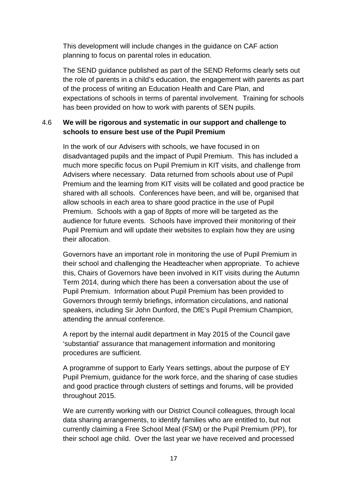This development will include changes in the guidance on CAF action planning to focus on parental roles in education.

 The SEND guidance published as part of the SEND Reforms clearly sets out the role of parents in a child's education, the engagement with parents as part of the process of writing an Education Health and Care Plan, and expectations of schools in terms of parental involvement. Training for schools has been provided on how to work with parents of SEN pupils.

#### 4.6 **We will be rigorous and systematic in our support and challenge to schools to ensure best use of the Pupil Premium**

 In the work of our Advisers with schools, we have focused in on disadvantaged pupils and the impact of Pupil Premium. This has included a much more specific focus on Pupil Premium in KIT visits, and challenge from Advisers where necessary. Data returned from schools about use of Pupil Premium and the learning from KIT visits will be collated and good practice be shared with all schools. Conferences have been, and will be, organised that allow schools in each area to share good practice in the use of Pupil Premium. Schools with a gap of 8ppts of more will be targeted as the audience for future events. Schools have improved their monitoring of their Pupil Premium and will update their websites to explain how they are using their allocation.

 Governors have an important role in monitoring the use of Pupil Premium in their school and challenging the Headteacher when appropriate. To achieve this, Chairs of Governors have been involved in KIT visits during the Autumn Term 2014, during which there has been a conversation about the use of Pupil Premium. Information about Pupil Premium has been provided to Governors through termly briefings, information circulations, and national speakers, including Sir John Dunford, the DfE's Pupil Premium Champion, attending the annual conference.

 A report by the internal audit department in May 2015 of the Council gave 'substantial' assurance that management information and monitoring procedures are sufficient.

A programme of support to Early Years settings, about the purpose of EY Pupil Premium, guidance for the work force, and the sharing of case studies and good practice through clusters of settings and forums, will be provided throughout 2015.

 We are currently working with our District Council colleagues, through local data sharing arrangements, to identify families who are entitled to, but not currently claiming a Free School Meal (FSM) or the Pupil Premium (PP), for their school age child. Over the last year we have received and processed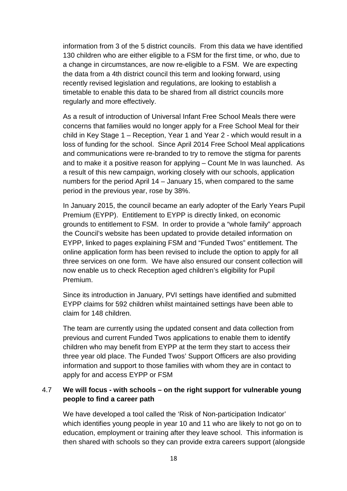information from 3 of the 5 district councils. From this data we have identified 130 children who are either eligible to a FSM for the first time, or who, due to a change in circumstances, are now re-eligible to a FSM. We are expecting the data from a 4th district council this term and looking forward, using recently revised legislation and regulations, are looking to establish a timetable to enable this data to be shared from all district councils more regularly and more effectively.

As a result of introduction of Universal Infant Free School Meals there were concerns that families would no longer apply for a Free School Meal for their child in Key Stage 1 – Reception, Year 1 and Year 2 - which would result in a loss of funding for the school. Since April 2014 Free School Meal applications and communications were re-branded to try to remove the stigma for parents and to make it a positive reason for applying – Count Me In was launched. As a result of this new campaign, working closely with our schools, application numbers for the period April 14 – January 15, when compared to the same period in the previous year, rose by 38%.

In January 2015, the council became an early adopter of the Early Years Pupil Premium (EYPP). Entitlement to EYPP is directly linked, on economic grounds to entitlement to FSM. In order to provide a "whole family" approach the Council's website has been updated to provide detailed information on EYPP, linked to pages explaining FSM and "Funded Twos" entitlement. The online application form has been revised to include the option to apply for all three services on one form. We have also ensured our consent collection will now enable us to check Reception aged children's eligibility for Pupil Premium.

Since its introduction in January, PVI settings have identified and submitted EYPP claims for 592 children whilst maintained settings have been able to claim for 148 children.

The team are currently using the updated consent and data collection from previous and current Funded Twos applications to enable them to identify children who may benefit from EYPP at the term they start to access their three year old place. The Funded Twos' Support Officers are also providing information and support to those families with whom they are in contact to apply for and access EYPP or FSM

#### 4.7 **We will focus - with schools – on the right support for vulnerable young people to find a career path**

We have developed a tool called the 'Risk of Non-participation Indicator' which identifies young people in year 10 and 11 who are likely to not go on to education, employment or training after they leave school. This information is then shared with schools so they can provide extra careers support (alongside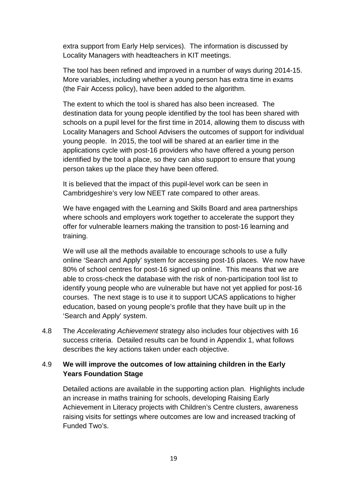extra support from Early Help services). The information is discussed by Locality Managers with headteachers in KIT meetings.

The tool has been refined and improved in a number of ways during 2014-15. More variables, including whether a young person has extra time in exams (the Fair Access policy), have been added to the algorithm.

The extent to which the tool is shared has also been increased. The destination data for young people identified by the tool has been shared with schools on a pupil level for the first time in 2014, allowing them to discuss with Locality Managers and School Advisers the outcomes of support for individual young people. In 2015, the tool will be shared at an earlier time in the applications cycle with post-16 providers who have offered a young person identified by the tool a place, so they can also support to ensure that young person takes up the place they have been offered.

It is believed that the impact of this pupil-level work can be seen in Cambridgeshire's very low NEET rate compared to other areas.

We have engaged with the Learning and Skills Board and area partnerships where schools and employers work together to accelerate the support they offer for vulnerable learners making the transition to post-16 learning and training.

We will use all the methods available to encourage schools to use a fully online 'Search and Apply' system for accessing post-16 places. We now have 80% of school centres for post-16 signed up online. This means that we are able to cross-check the database with the risk of non-participation tool list to identify young people who are vulnerable but have not yet applied for post-16 courses. The next stage is to use it to support UCAS applications to higher education, based on young people's profile that they have built up in the 'Search and Apply' system.

4.8 The Accelerating Achievement strategy also includes four objectives with 16 success criteria. Detailed results can be found in Appendix 1, what follows describes the key actions taken under each objective.

#### 4.9 **We will improve the outcomes of low attaining children in the Early Years Foundation Stage**

Detailed actions are available in the supporting action plan. Highlights include an increase in maths training for schools, developing Raising Early Achievement in Literacy projects with Children's Centre clusters, awareness raising visits for settings where outcomes are low and increased tracking of Funded Two's.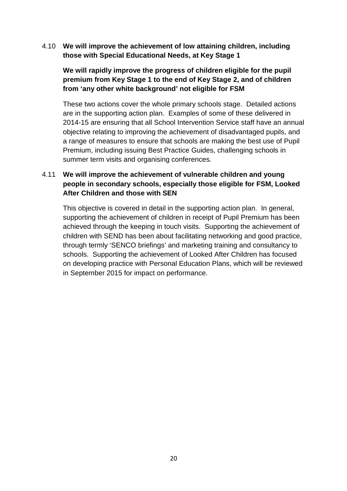4.10 **We will improve the achievement of low attaining children, including those with Special Educational Needs, at Key Stage 1** 

#### **We will rapidly improve the progress of children eligible for the pupil premium from Key Stage 1 to the end of Key Stage 2, and of children from 'any other white background' not eligible for FSM**

 These two actions cover the whole primary schools stage. Detailed actions are in the supporting action plan. Examples of some of these delivered in 2014-15 are ensuring that all School Intervention Service staff have an annual objective relating to improving the achievement of disadvantaged pupils, and a range of measures to ensure that schools are making the best use of Pupil Premium, including issuing Best Practice Guides, challenging schools in summer term visits and organising conferences.

#### 4.11 **We will improve the achievement of vulnerable children and young people in secondary schools, especially those eligible for FSM, Looked After Children and those with SEN**

 This objective is covered in detail in the supporting action plan. In general, supporting the achievement of children in receipt of Pupil Premium has been achieved through the keeping in touch visits. Supporting the achievement of children with SEND has been about facilitating networking and good practice, through termly 'SENCO briefings' and marketing training and consultancy to schools. Supporting the achievement of Looked After Children has focused on developing practice with Personal Education Plans, which will be reviewed in September 2015 for impact on performance.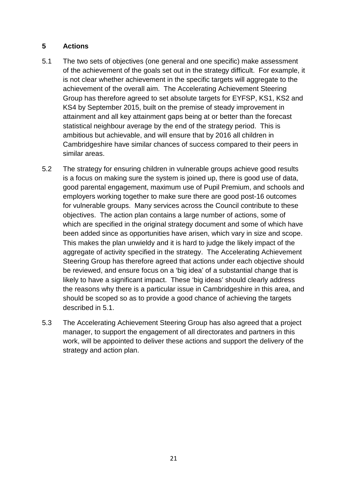#### **5 Actions**

- 5.1 The two sets of objectives (one general and one specific) make assessment of the achievement of the goals set out in the strategy difficult. For example, it is not clear whether achievement in the specific targets will aggregate to the achievement of the overall aim. The Accelerating Achievement Steering Group has therefore agreed to set absolute targets for EYFSP, KS1, KS2 and KS4 by September 2015, built on the premise of steady improvement in attainment and all key attainment gaps being at or better than the forecast statistical neighbour average by the end of the strategy period. This is ambitious but achievable, and will ensure that by 2016 all children in Cambridgeshire have similar chances of success compared to their peers in similar areas.
- 5.2 The strategy for ensuring children in vulnerable groups achieve good results is a focus on making sure the system is joined up, there is good use of data, good parental engagement, maximum use of Pupil Premium, and schools and employers working together to make sure there are good post-16 outcomes for vulnerable groups. Many services across the Council contribute to these objectives. The action plan contains a large number of actions, some of which are specified in the original strategy document and some of which have been added since as opportunities have arisen, which vary in size and scope. This makes the plan unwieldy and it is hard to judge the likely impact of the aggregate of activity specified in the strategy. The Accelerating Achievement Steering Group has therefore agreed that actions under each objective should be reviewed, and ensure focus on a 'big idea' of a substantial change that is likely to have a significant impact. These 'big ideas' should clearly address the reasons why there is a particular issue in Cambridgeshire in this area, and should be scoped so as to provide a good chance of achieving the targets described in 5.1.
- 5.3 The Accelerating Achievement Steering Group has also agreed that a project manager, to support the engagement of all directorates and partners in this work, will be appointed to deliver these actions and support the delivery of the strategy and action plan.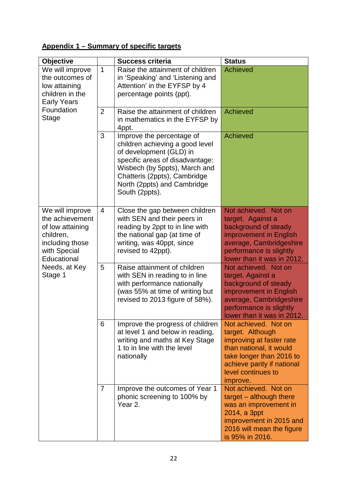## **Appendix 1 – Summary of specific targets**

| <b>Objective</b>                                                                                                                                  |                | <b>Success criteria</b>                                                                                                                                                                                                                      | <b>Status</b>                                                                                                                                                                               |
|---------------------------------------------------------------------------------------------------------------------------------------------------|----------------|----------------------------------------------------------------------------------------------------------------------------------------------------------------------------------------------------------------------------------------------|---------------------------------------------------------------------------------------------------------------------------------------------------------------------------------------------|
| We will improve<br>the outcomes of<br>low attaining<br>children in the<br><b>Early Years</b><br>Foundation<br><b>Stage</b>                        | $\mathbf{1}$   | Raise the attainment of children<br>in 'Speaking' and 'Listening and<br>Attention' in the EYFSP by 4<br>percentage points (ppt).                                                                                                             | <b>Achieved</b>                                                                                                                                                                             |
|                                                                                                                                                   | $\overline{2}$ | Raise the attainment of children<br>in mathematics in the EYFSP by<br>4ppt.                                                                                                                                                                  | <b>Achieved</b>                                                                                                                                                                             |
|                                                                                                                                                   | 3              | Improve the percentage of<br>children achieving a good level<br>of development (GLD) in<br>specific areas of disadvantage:<br>Wisbech (by 5ppts), March and<br>Chatteris (2ppts), Cambridge<br>North (2ppts) and Cambridge<br>South (2ppts). | <b>Achieved</b>                                                                                                                                                                             |
| We will improve<br>the achievement<br>of low attaining<br>children,<br>including those<br>with Special<br>Educational<br>Needs, at Key<br>Stage 1 | $\overline{4}$ | Close the gap between children<br>with SEN and their peers in<br>reading by 2ppt to in line with<br>the national gap (at time of<br>writing, was 40ppt, since<br>revised to 42ppt).                                                          | Not achieved. Not on<br>target. Against a<br>background of steady<br>improvement in English<br>average, Cambridgeshire<br>performance is slightly<br>lower than it was in 2012.             |
|                                                                                                                                                   | 5              | Raise attainment of children<br>with SEN in reading to in line<br>with performance nationally<br>(was 55% at time of writing but<br>revised to 2013 figure of 58%).                                                                          | Not achieved. Not on<br>target. Against a<br>background of steady<br>improvement in English<br>average, Cambridgeshire<br>performance is slightly<br>lower than it was in 2012              |
|                                                                                                                                                   | 6              | Improve the progress of children<br>at level 1 and below in reading,<br>writing and maths at Key Stage<br>1 to in line with the level<br>nationally                                                                                          | Not achieved. Not on<br>target. Although<br>improving at faster rate<br>than national, it would<br>take longer than 2016 to<br>achieve parity if national<br>level continues to<br>improve. |
|                                                                                                                                                   | $\overline{7}$ | Improve the outcomes of Year 1<br>phonic screening to 100% by<br>Year 2.                                                                                                                                                                     | Not achieved. Not on<br>target - although there<br>was an improvement in<br>2014, a 3ppt<br>improvement in 2015 and<br>2016 will mean the figure<br>is 95% in 2016.                         |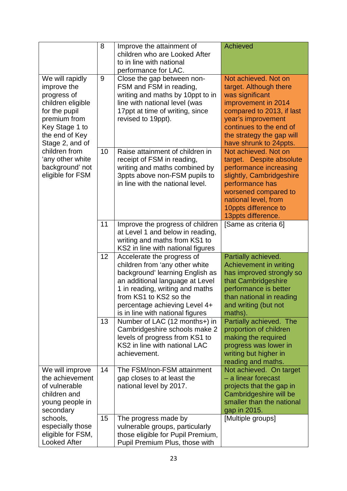|                                                                                                                                                                                                                                        | 8  | Improve the attainment of<br>children who are Looked After                                                                                                                                                                                                           | <b>Achieved</b>                                                                                                                                                                                                               |
|----------------------------------------------------------------------------------------------------------------------------------------------------------------------------------------------------------------------------------------|----|----------------------------------------------------------------------------------------------------------------------------------------------------------------------------------------------------------------------------------------------------------------------|-------------------------------------------------------------------------------------------------------------------------------------------------------------------------------------------------------------------------------|
|                                                                                                                                                                                                                                        |    | to in line with national<br>performance for LAC.                                                                                                                                                                                                                     |                                                                                                                                                                                                                               |
| We will rapidly<br>improve the<br>progress of<br>children eligible<br>for the pupil<br>premium from<br>Key Stage 1 to<br>the end of Key<br>Stage 2, and of<br>children from<br>'any other white<br>background' not<br>eligible for FSM | 9  | Close the gap between non-<br>FSM and FSM in reading,<br>writing and maths by 10ppt to in<br>line with national level (was<br>17ppt at time of writing, since<br>revised to 19ppt).                                                                                  | Not achieved. Not on<br>target. Although there<br>was significant<br>improvement in 2014<br>compared to 2013, if last<br>year's improvement<br>continues to the end of<br>the strategy the gap will<br>have shrunk to 24ppts. |
|                                                                                                                                                                                                                                        | 10 | Raise attainment of children in<br>receipt of FSM in reading,<br>writing and maths combined by<br>3ppts above non-FSM pupils to<br>in line with the national level.                                                                                                  | Not achieved. Not on<br>target. Despite absolute<br>performance increasing<br>slightly, Cambridgeshire<br>performance has<br>worsened compared to<br>national level, from<br>10ppts difference to<br>13ppts difference.       |
|                                                                                                                                                                                                                                        | 11 | Improve the progress of children<br>at Level 1 and below in reading,<br>writing and maths from KS1 to<br>KS2 in line with national figures                                                                                                                           | [Same as criteria 6]                                                                                                                                                                                                          |
|                                                                                                                                                                                                                                        | 12 | Accelerate the progress of<br>children from 'any other white<br>background' learning English as<br>an additional language at Level<br>1 in reading, writing and maths<br>from KS1 to KS2 so the<br>percentage achieving Level 4+<br>is in line with national figures | Partially achieved.<br>Achievement in writing<br>has improved strongly so<br>that Cambridgeshire<br>performance is better<br>than national in reading<br>and writing (but not<br>maths).                                      |
|                                                                                                                                                                                                                                        | 13 | Number of LAC (12 months+) in<br>Cambridgeshire schools make 2<br>levels of progress from KS1 to<br>KS2 in line with national LAC<br>achievement.                                                                                                                    | Partially achieved. The<br>proportion of children<br>making the required<br>progress was lower in<br>writing but higher in<br>reading and maths.                                                                              |
| We will improve<br>the achievement<br>of vulnerable<br>children and<br>young people in<br>secondary                                                                                                                                    | 14 | The FSM/non-FSM attainment<br>gap closes to at least the<br>national level by 2017.                                                                                                                                                                                  | Not achieved. On target<br>- a linear forecast<br>projects that the gap in<br>Cambridgeshire will be<br>smaller than the national<br>gap in 2015.                                                                             |
| schools,<br>especially those<br>eligible for FSM,<br><b>Looked After</b>                                                                                                                                                               | 15 | The progress made by<br>vulnerable groups, particularly<br>those eligible for Pupil Premium,<br>Pupil Premium Plus, those with                                                                                                                                       | [Multiple groups]                                                                                                                                                                                                             |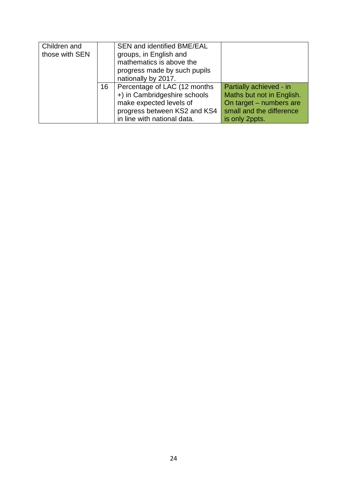| Children and   |    | SEN and identified BME/EAL   |                           |
|----------------|----|------------------------------|---------------------------|
| those with SEN |    | groups, in English and       |                           |
|                |    | mathematics is above the     |                           |
|                |    | progress made by such pupils |                           |
|                |    | nationally by 2017.          |                           |
|                | 16 | Percentage of LAC (12 months | Partially achieved - in   |
|                |    | +) in Cambridgeshire schools | Maths but not in English. |
|                |    | make expected levels of      | On target - numbers are   |
|                |    | progress between KS2 and KS4 | small and the difference  |
|                |    | in line with national data.  | is only 2ppts.            |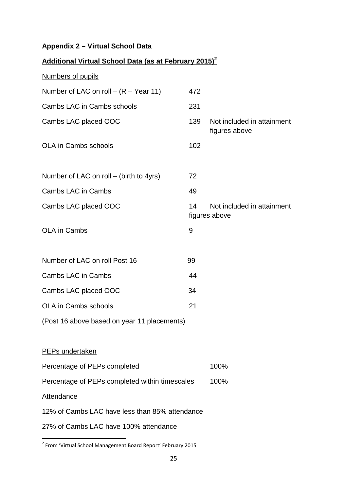## **Appendix 2 – Virtual School Data**

| <b>Additional Virtual School Data (as at February 2015)</b> |      |                                             |  |  |
|-------------------------------------------------------------|------|---------------------------------------------|--|--|
| Numbers of pupils                                           |      |                                             |  |  |
| Number of LAC on roll $ (R - Year 11)$                      | 472  |                                             |  |  |
| Cambs LAC in Cambs schools                                  | 231  |                                             |  |  |
| Cambs LAC placed OOC                                        | 139  | Not included in attainment<br>figures above |  |  |
| <b>OLA in Cambs schools</b>                                 | 102  |                                             |  |  |
| Number of LAC on roll – (birth to 4yrs)                     | 72   |                                             |  |  |
| Cambs LAC in Cambs                                          | 49   |                                             |  |  |
| Cambs LAC placed OOC                                        | 14   | Not included in attainment<br>figures above |  |  |
| OLA in Cambs                                                | 9    |                                             |  |  |
|                                                             |      |                                             |  |  |
| Number of LAC on roll Post 16                               | 99   |                                             |  |  |
| <b>Cambs LAC in Cambs</b>                                   | 44   |                                             |  |  |
| Cambs LAC placed OOC                                        | 34   |                                             |  |  |
| <b>OLA in Cambs schools</b>                                 | 21   |                                             |  |  |
| (Post 16 above based on year 11 placements)                 |      |                                             |  |  |
|                                                             |      |                                             |  |  |
| PEPs undertaken                                             |      |                                             |  |  |
| Percentage of PEPs completed                                | 100% |                                             |  |  |
| Percentage of PEPs completed within timescales              |      | 100%                                        |  |  |
| <b>Attendance</b>                                           |      |                                             |  |  |
| 12% of Cambs LAC have less than 85% attendance              |      |                                             |  |  |
| 27% of Cambs LAC have 100% attendance                       |      |                                             |  |  |

 2 From 'Virtual School Management Board Report' February 2015